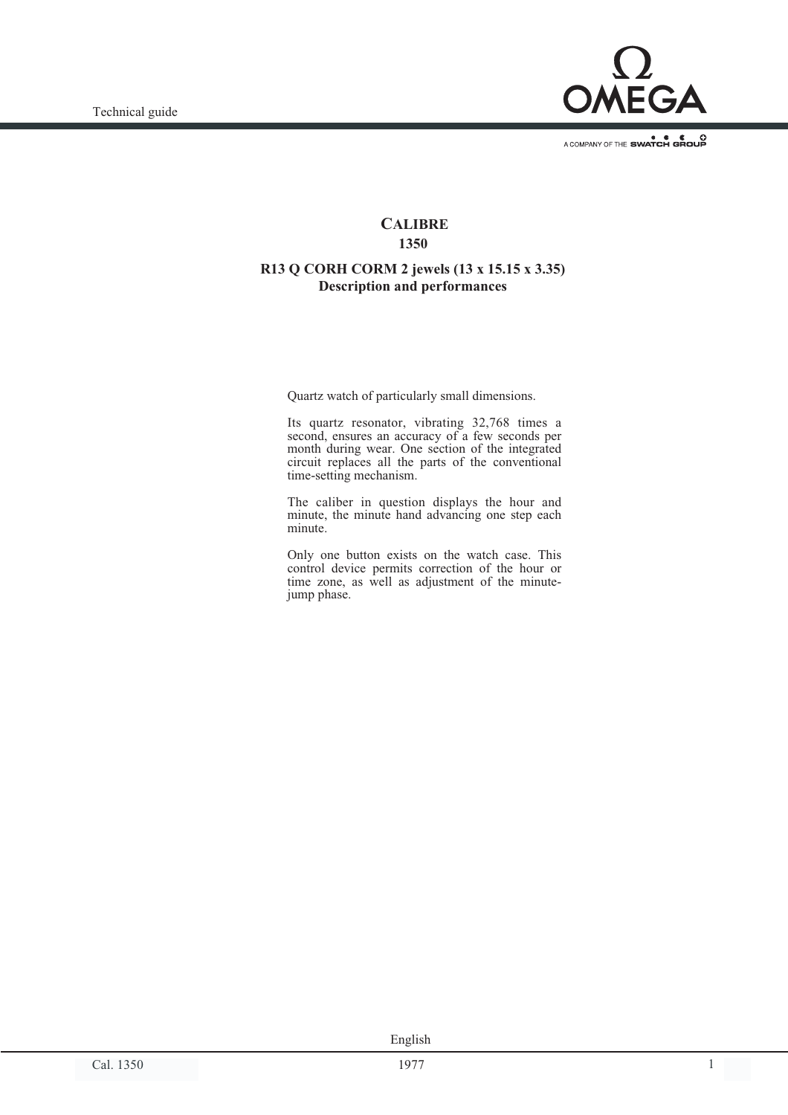

A COMPANY OF THE SWATCH GROUP

#### **CALIBRE 1350**

#### **R13 Q CORH CORM 2 jewels (13 x 15.15 x 3.35) Description and performances**

Quartz watch of particularly small dimensions.

Its quartz resonator, vibrating 32,768 times a second, ensures an accuracy of a few seconds per month during wear. One section of the integrated circuit replaces all the parts of the conventional time-setting mechanism.

The caliber in question displays the hour and minute, the minute hand advancing one step each minute.

Only one button exists on the watch case. This control device permits correction of the hour or time zone, as well as adjustment of the minutejump phase.

Cal. 1350 1977 1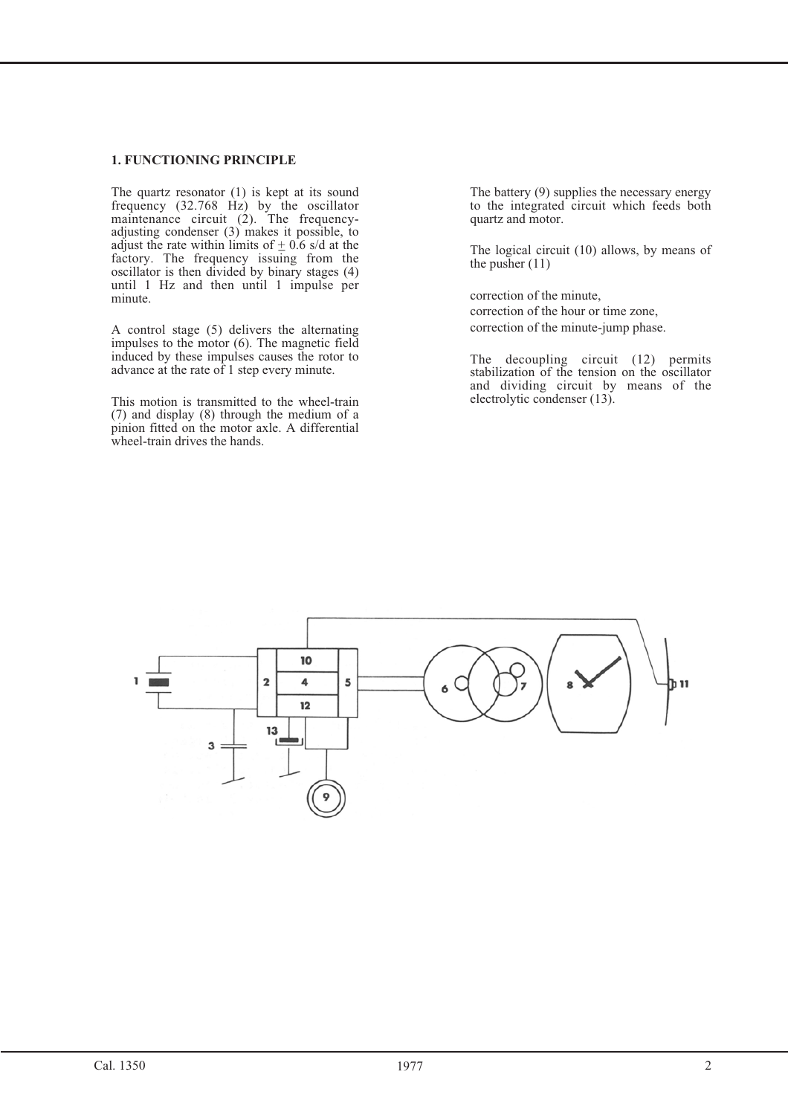#### **1. FUNCTIONING PRINCIPLE**

The quartz resonator (1) is kept at its sound frequency  $(32.768 \text{ Hz})$  by the oscillator maintenance circuit  $(2)$ . The frequencyadjusting condenser (3) makes it possible, to adjust the rate within limits of  $\pm$  0.6 s/d at the factory. The frequency issuing from the oscillator is then divided by binary stages (4) until 1 Hz and then until 1 impulse per minute.

A control stage (5) delivers the alternating impulses to the motor (6). The magnetic field induced by these impulses causes the rotor to advance at the rate of 1 step every minute.

This motion is transmitted to the wheel-train (7) and display (8) through the medium of a pinion fitted on the motor axle. A differential wheel-train drives the hands.

The battery (9) supplies the necessary energy to the integrated circuit which feeds both quartz and motor.

The logical circuit (10) allows, by means of the pusher (11)

correction of the minute, correction of the hour or time zone, correction of the minute-jump phase.

The decoupling circuit (12) permits stabilization of the tension on the oscillator and dividing circuit by means of the electrolytic condenser (13).

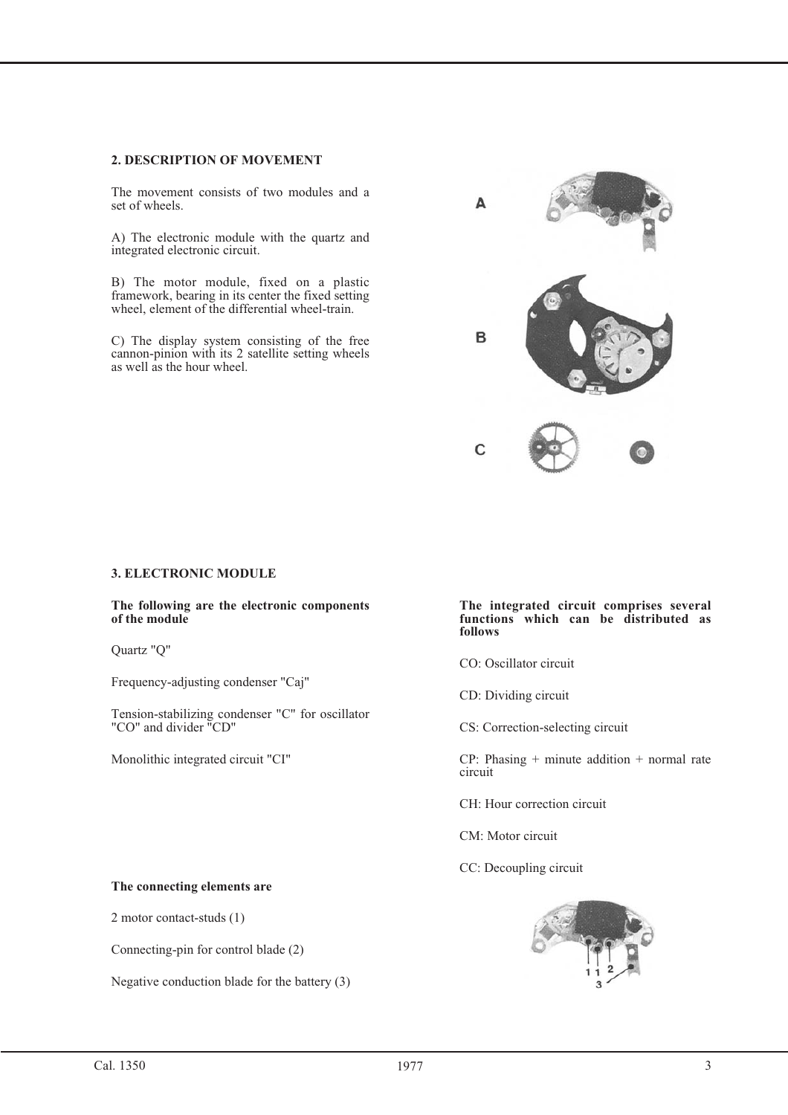#### **2. DESCRIPTION OF MOVEMENT**

The movement consists of two modules and a set of wheels.

A) The electronic module with the quartz and integrated electronic circuit.

B) The motor module, fixed on a plastic framework, bearing in its center the fixed setting wheel, element of the differential wheel-train.

C) The display system consisting of the free cannon-pinion with its 2 satellite setting wheels as well as the hour wheel.

# $\Lambda$ B C

#### **3. ELECTRONIC MODULE**

**The following are the electronic components of the module**

Quartz "Q"

Frequency-adjusting condenser "Caj"

Tension-stabilizing condenser "C" for oscillator "CO" and divider "CD"

Monolithic integrated circuit "CI"

#### **The integrated circuit comprises several functions which can be distributed as follows**

CO: Oscillator circuit

CD: Dividing circuit

CS: Correction-selecting circuit

 $CP: Phasing + minute addition + normal rate$ circuit

CH: Hour correction circuit

CM: Motor circuit

CC: Decoupling circuit



2 motor contact-studs (1)

Connecting-pin for control blade (2)

Negative conduction blade for the battery (3)

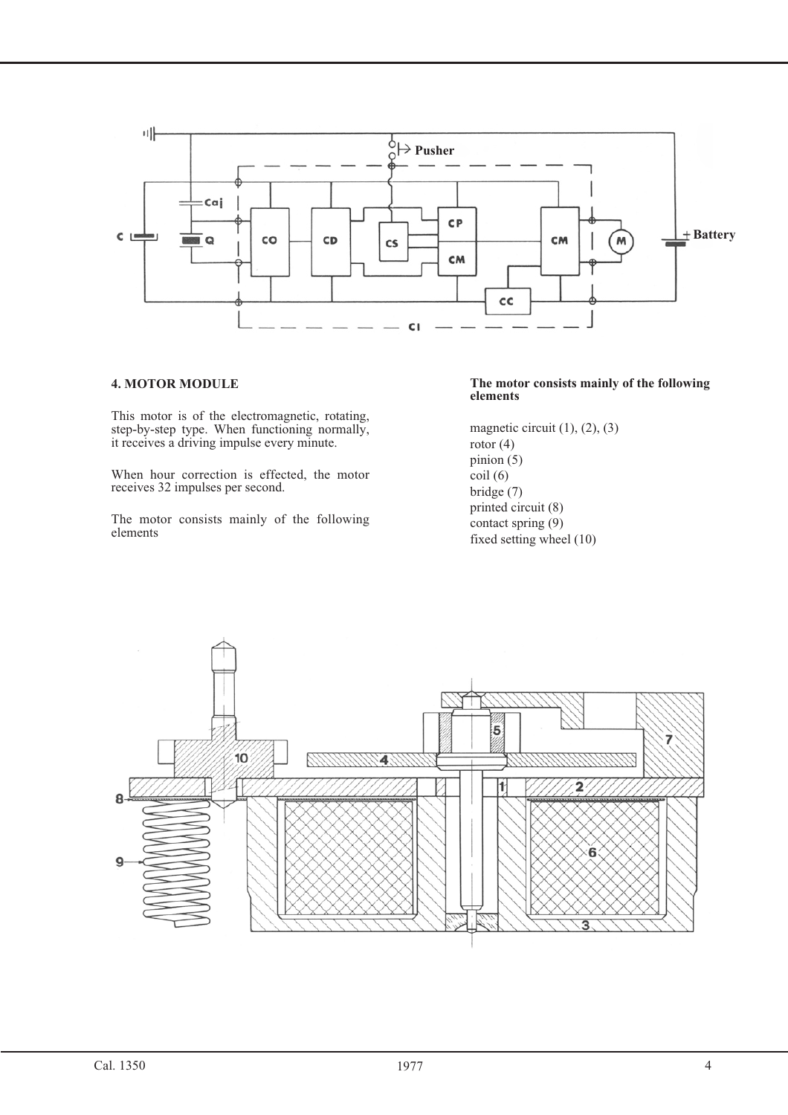

#### **4. MOTOR MODULE**

This motor is of the electromagnetic, rotating, step-by-step type. When functioning normally, it receives a driving impulse every minute.

When hour correction is effected, the motor receives 32 impulses per second.

The motor consists mainly of the following elements

#### **The motor consists mainly of the following elements**

magnetic circuit  $(1)$ ,  $(2)$ ,  $(3)$ rotor  $(4)$ pinion  $(5)$  $\text{coil}(6)$ bridge (7) printed circuit (8) contact spring (9) fixed setting wheel (10)

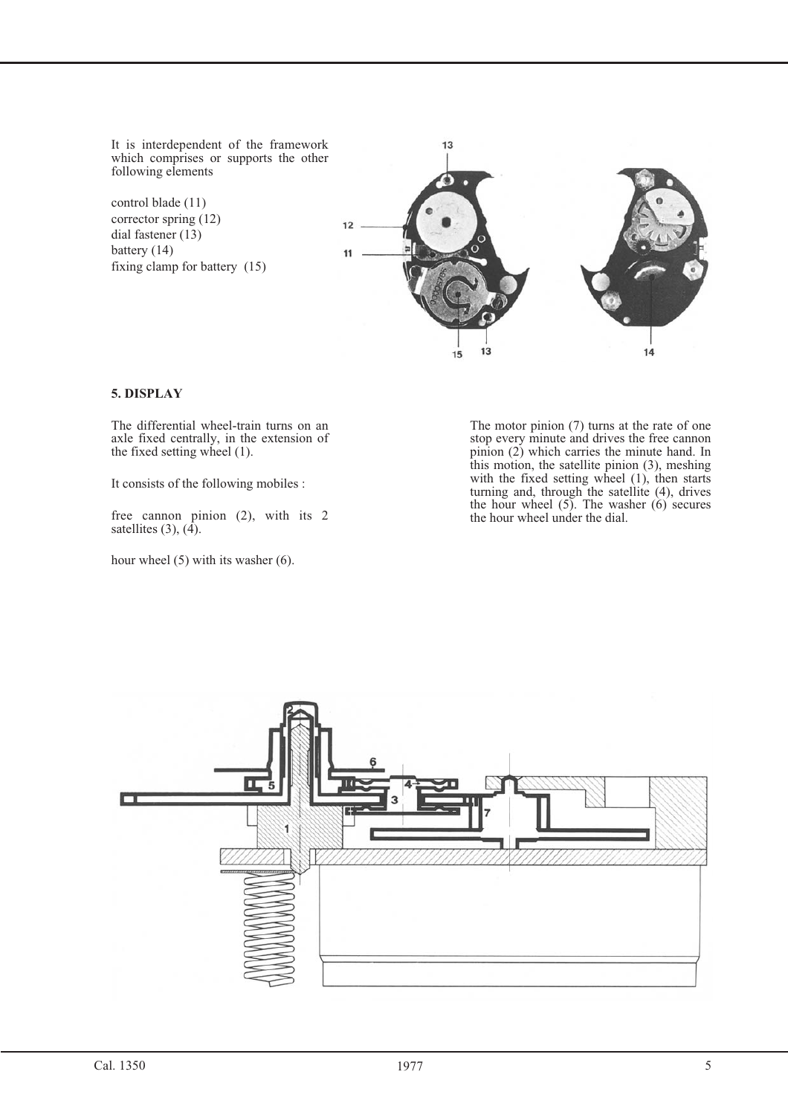It is interdependent of the framework which comprises or supports the other following elements

control blade (11) corrector spring (12) dial fastener (13) battery (14) fixing clamp for battery (15)



#### **5. DISPLAY**

The differential wheel-train turns on an axle fixed centrally, in the extension of the fixed setting wheel (1).

It consists of the following mobiles :

free cannon pinion (2), with its 2 satellites  $(3)$ ,  $(4)$ .

hour wheel (5) with its washer (6).

The motor pinion (7) turns at the rate of one stop every minute and drives the free cannon pinion (2) which carries the minute hand. In this motion, the satellite pinion (3), meshing with the fixed setting wheel (1), then starts turning and, through the satellite (4), drives the hour wheel (5). The washer (6) secures the hour wheel under the dial.

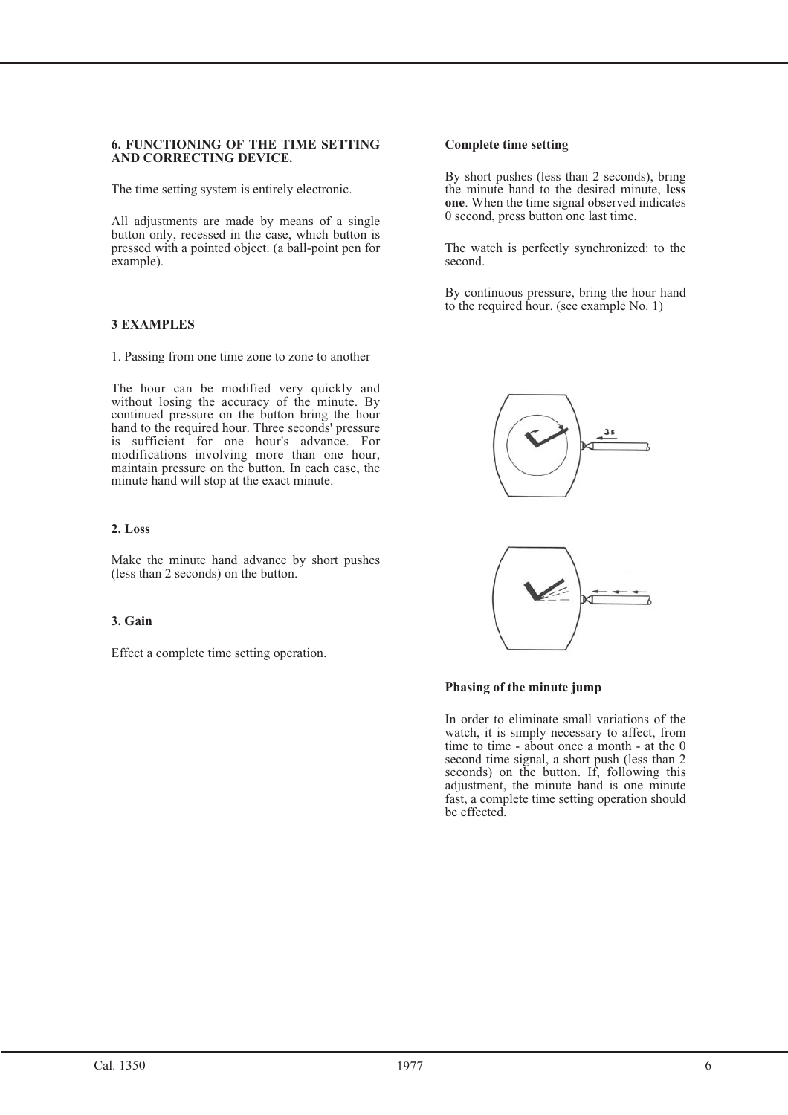### **6. FUNCTIONING OF THE TIME SETTING AND CORRECTING DEVICE.**

The time setting system is entirely electronic.

All adjustments are made by means of a single button only, recessed in the case, which button is pressed with a pointed object. (a ball-point pen for example).

#### **3 EXAMPLES**

1. Passing from one time zone to zone to another

The hour can be modified very quickly and without losing the accuracy of the minute. By continued pressure on the button bring the hour hand to the required hour. Three seconds' pressure is sufficient for one hour's advance. For modifications involving more than one hour, maintain pressure on the button. In each case, the minute hand will stop at the exact minute.

Make the minute hand advance by short pushes (less than 2 seconds) on the button.

#### 3. Gain **3. Gain**

Effect a complete time setting operation.

#### **Complete time setting**

By short pushes (less than 2 seconds), bring<br>the minute hand to the desired minute, less the minute hand to the desired minute, **less one**. When the time signal observed indicates 0 second, press button one last time. 0 second, press button one last time.

The watch is perfectly synchronized: to the second.

By continuous pressure, bring the hour hand to the required hour. (see example No. 1)





#### **Phasing of the minute jump**

In order to eliminate small variations of the watch, it is simply necessary to affect, from time to time - about once a month - at the 0 second time signal, a short push (less than 2 seconds) on the button. If, following this adjustment, the minute hand is one minute fast, a complete time setting operation should be effected.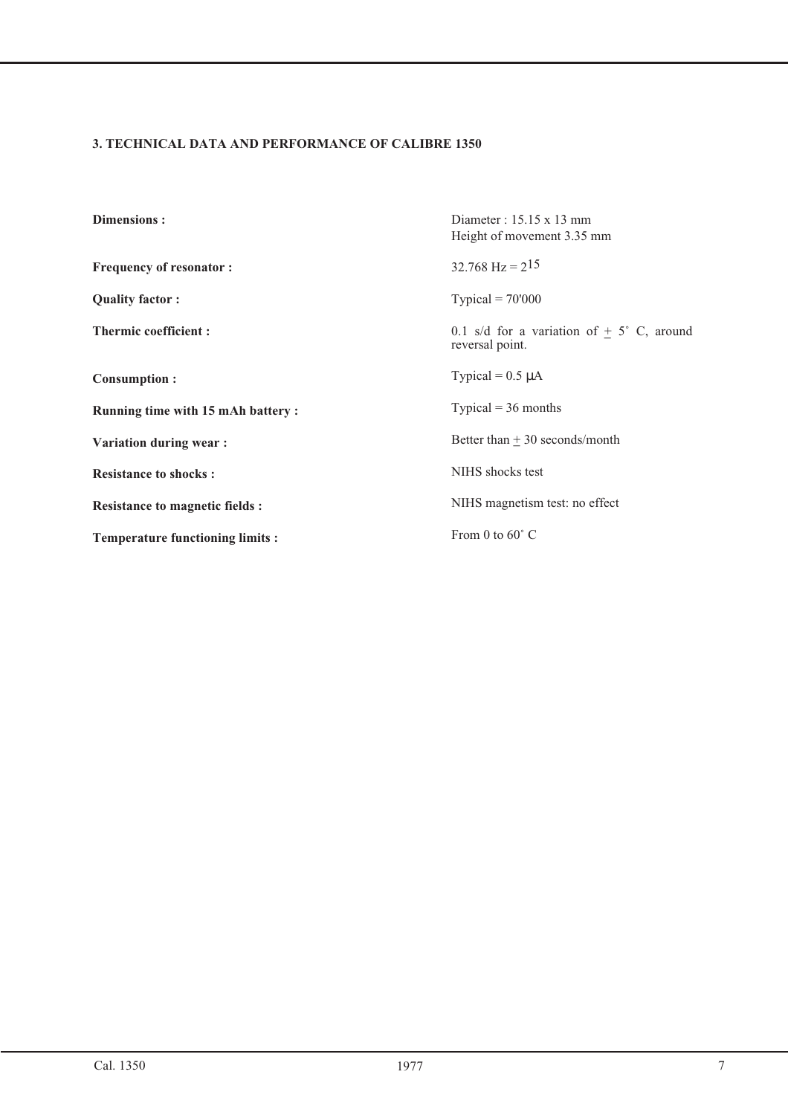#### **3. TECHNICAL DATA AND PERFORMANCE OF CALIBRE 1350**

| <b>Dimensions:</b>                       | Diameter : $15.15 \times 13$ mm<br>Height of movement 3.35 mm        |
|------------------------------------------|----------------------------------------------------------------------|
| <b>Frequency of resonator:</b>           | $32.768$ Hz = $2^{15}$                                               |
| <b>Quality factor:</b>                   | Typical = $70'000$                                                   |
| <b>Thermic coefficient:</b>              | 0.1 s/d for a variation of $+5^{\circ}$ C, around<br>reversal point. |
| <b>Consumption:</b>                      | Typical = $0.5 \mu A$                                                |
| <b>Running time with 15 mAh battery:</b> | Typical = $36$ months                                                |
| Variation during wear:                   | Better than $+30$ seconds/month                                      |
| <b>Resistance to shocks:</b>             | NIHS shocks test                                                     |
| <b>Resistance to magnetic fields :</b>   | NIHS magnetism test: no effect                                       |
| <b>Temperature functioning limits:</b>   | From 0 to $60^{\circ}$ C                                             |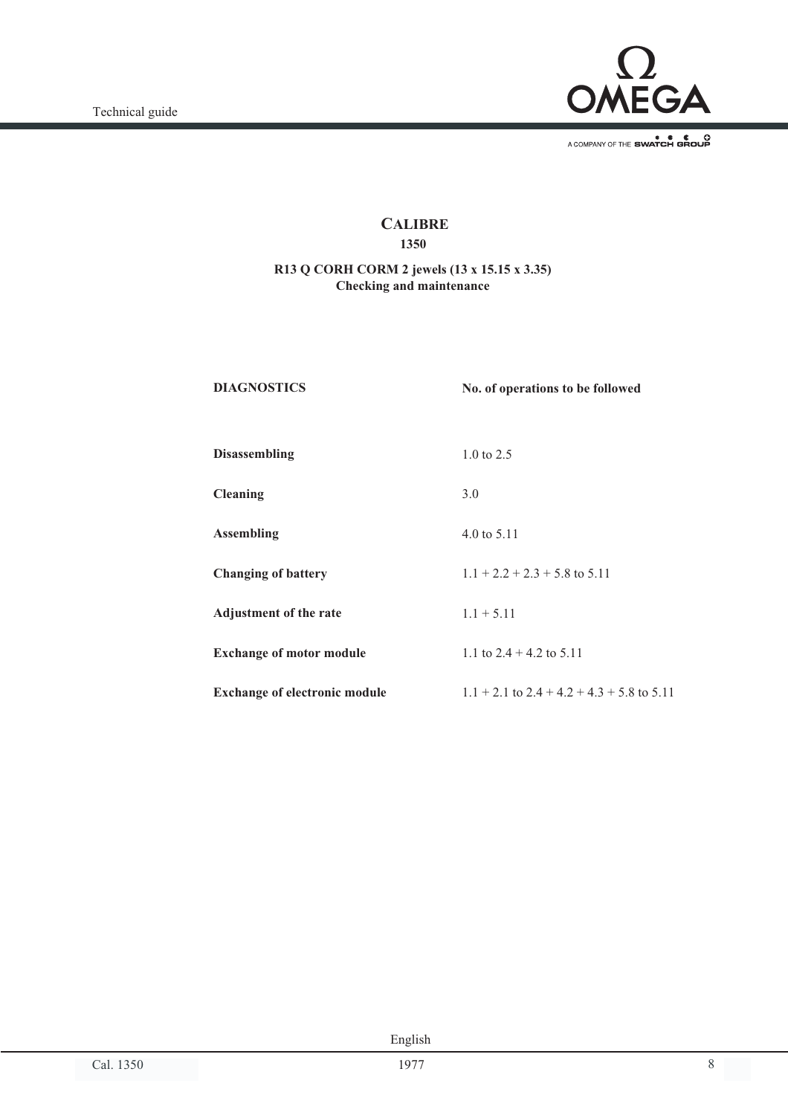

A COMPANY OF THE SWATCH GROUP

## **CALIBRE**

#### **1350**

#### **R13 Q CORH CORM 2 jewels (13 x 15.15 x 3.35) Checking and maintenance**

**DIAGNOSTICS**

**No. of operations to be followed**

 $1.1 + 2.2 + 2.3 + 5.8$  to 5.11

1.1 to 2.4 + 4.2 to 5.11

**Disassembling**

**Cleaning**

**Assembling**

**Changing of battery**

**Adjustment of the rate**

**Exchange of motor module**

**Exchange of electronic module**  $1.1 + 2.1$  to  $2.4 + 4.2 + 4.3 + 5.8$  to  $5.11$ 

1.0 to 2.5

4.0 to 5.11

 $1.1 + 5.11$ 

3.0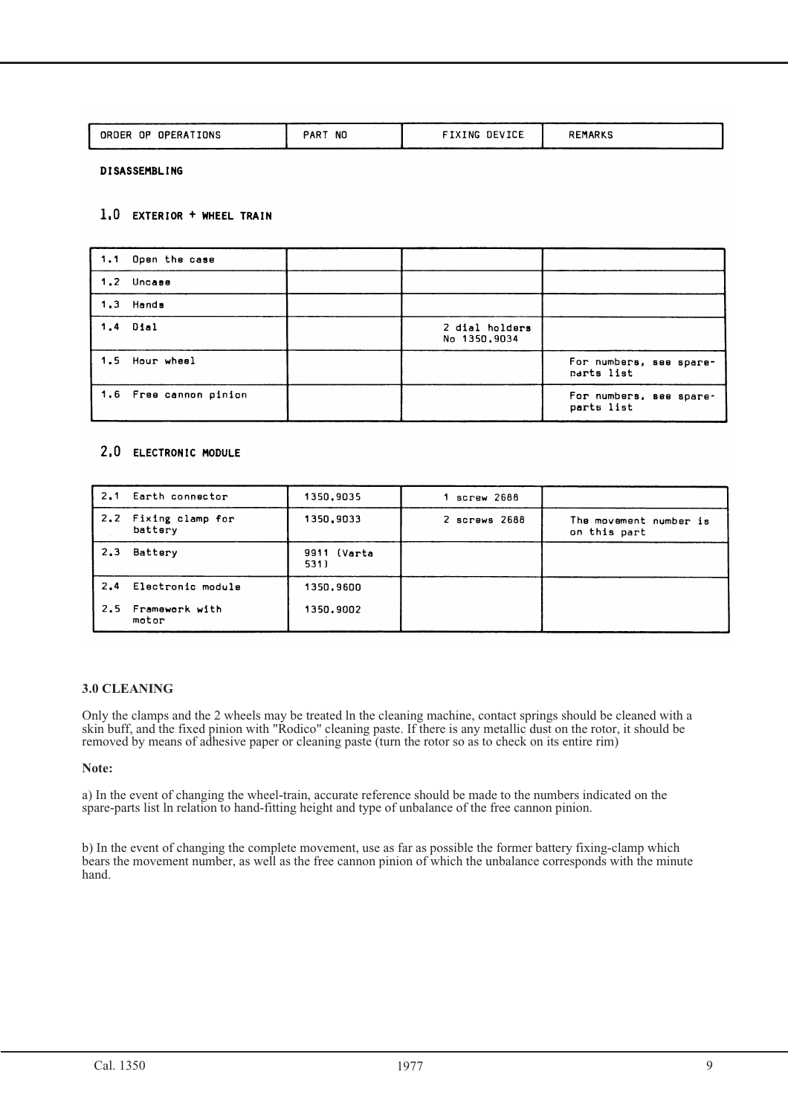| OPERATIONS<br>. OP .<br><b>ORDER</b> | <b>NC</b><br>DAD <sup>-</sup><br>nn | DEVICE<br><b>TIXING</b> | REMARKS |
|--------------------------------------|-------------------------------------|-------------------------|---------|
|                                      |                                     |                         |         |

**DISASSEMBLING** 

#### 1.0 EXTERIOR + WHEEL TRAIN

| 1.1 Open the case      |                                |                                       |
|------------------------|--------------------------------|---------------------------------------|
| 1.2 Uncase             |                                |                                       |
| 1.3 Hands              |                                |                                       |
| 1.4 Dial               | 2 dial holders<br>No 1350,9034 |                                       |
| 1.5 Hour wheel         |                                | For numbers, see spare-<br>parts list |
| 1.6 Free cannon pinion |                                | For numbers, see spare-<br>parts list |

#### 2.0 ELECTRONIC MODULE

| 2.1  | Earth connector             | 1350,9035           | screw 2688        |                                        |
|------|-----------------------------|---------------------|-------------------|----------------------------------------|
| 2, 2 | Fixing clamp for<br>battery | 1350,9033           | $2$ screws $2688$ | The movement number is<br>on this part |
| 2,3  | Battery                     | 9911 (Varta<br>531) |                   |                                        |
| 2.4  | Electronic module           | 1350,9600           |                   |                                        |
|      | 2.5 Framework with<br>motor | 1350,9002           |                   |                                        |

#### **3.0 CLEANING**

Only the clamps and the 2 wheels may be treated ln the cleaning machine, contact springs should be cleaned with a skin buff, and the fixed pinion with "Rodico" cleaning paste. If there is any metallic dust on the rotor, it should be removed by means of adhesive paper or cleaning paste (turn the rotor so as to check on its entire rim)

#### **Note:**

a) In the event of changing the wheel-train, accurate reference should be made to the numbers indicated on the spare-parts list ln relation to hand-fitting height and type of unbalance of the free cannon pinion.

b) In the event of changing the complete movement, use as far as possible the former battery fixing-clamp which bears the movement number, as well as the free cannon pinion of which the unbalance corresponds with the minute hand.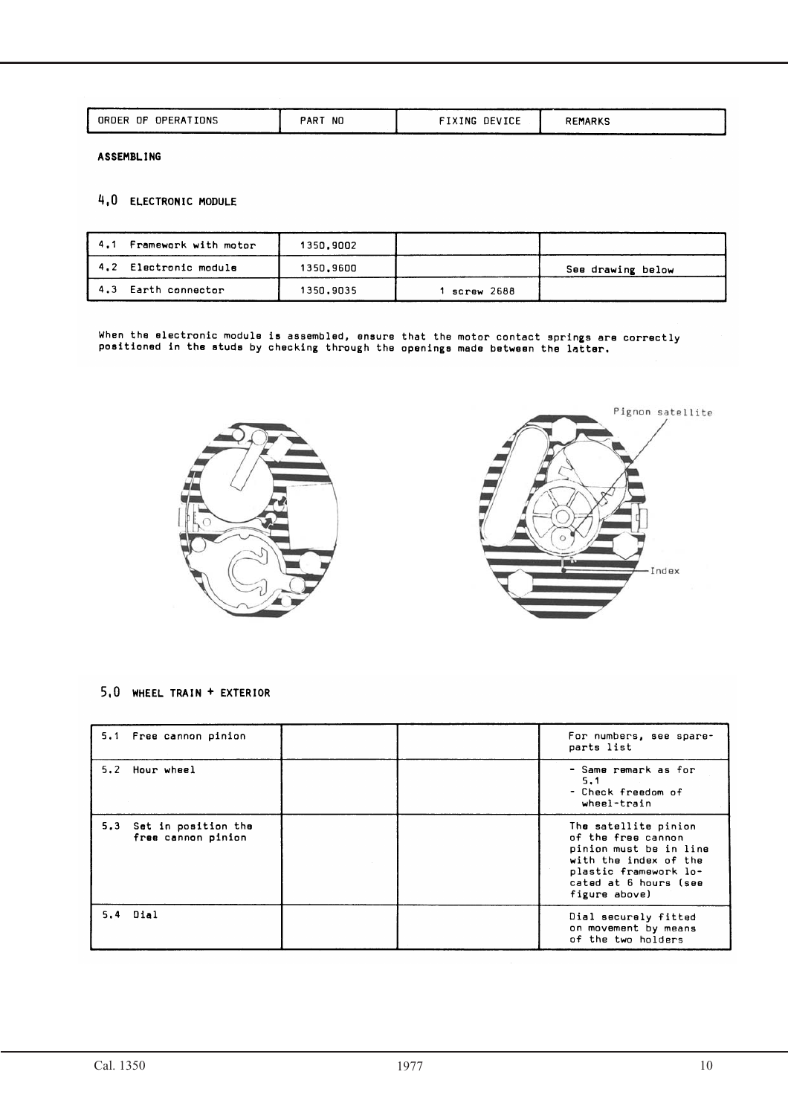| OPERATIONS<br>. OP .<br>ORDER | PART<br><b>NC</b> | <b>DEVICE</b><br><b>XING</b> | <b>REMARKS</b> |
|-------------------------------|-------------------|------------------------------|----------------|
|                               |                   |                              |                |

**ASSEMBLING** 

#### 4,0 ELECTRONIC MODULE

| 4.1 Framework with motor | 1350,9002 |            |                   |
|--------------------------|-----------|------------|-------------------|
| 4.2 Electronic module    | 1350.9600 |            | See drawing below |
| 4.3 Earth connector      | 1350.9035 | screw 2688 |                   |

When the electronic module is assembled, ensure that the motor contact springs are correctly<br>positioned in the studs by checking through the openings made between the latter.



#### 5.0 WHEEL TRAIN + EXTERIOR

| 5.1 Free cannon pinion                        | For numbers, see spare-<br>parts list                                                                                                                            |
|-----------------------------------------------|------------------------------------------------------------------------------------------------------------------------------------------------------------------|
| 5.2 Hour wheel                                | – Same remark as for<br>5,1<br>– Check freedom of<br>wheel-train                                                                                                 |
| 5.3 Set in position the<br>free cannon pinion | The satellite pinion<br>of the free cannon<br>pinion must be in line<br>with the index of the<br>plastic framework lo-<br>cated at 6 hours (see<br>figure above) |
| 5.4 Dial                                      | Dial securely fitted<br>on movement by means<br>of the two holders                                                                                               |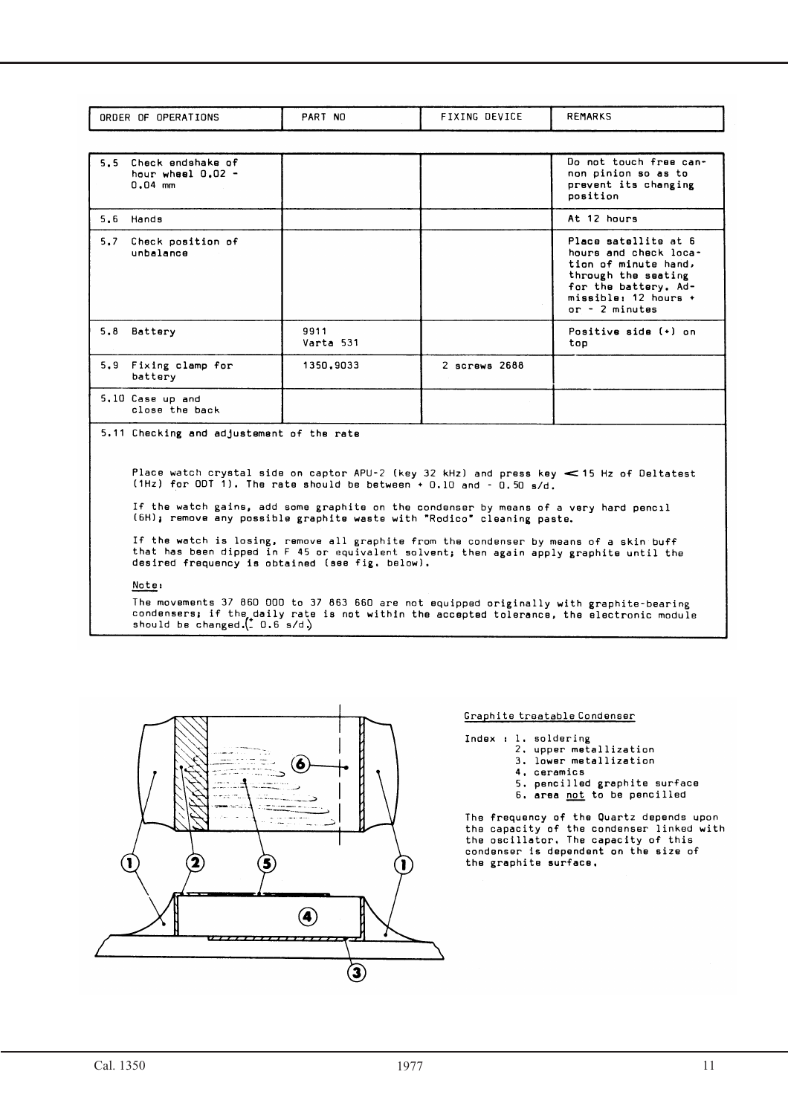| <b>IONS</b><br>0E.<br><b>OPERA</b><br>ORDER | <b>PART</b><br>NO | DEVICE<br>TNC. | <b>REMARY</b> |
|---------------------------------------------|-------------------|----------------|---------------|
|                                             |                   |                |               |

| 5.5 | Check endshake of<br>hour wheel $0.02 -$<br>$0.04$ mm |                   |               | Do not touch free can-<br>non pinion so as to<br>prevent its changing<br>position                                                                              |
|-----|-------------------------------------------------------|-------------------|---------------|----------------------------------------------------------------------------------------------------------------------------------------------------------------|
|     | 5.6 Hands                                             |                   |               | At 12 hours                                                                                                                                                    |
| 5.7 | Check position of<br>unbalance                        |                   |               | Place satellite at 6<br>hours and check loca-<br>tion of minute hand,<br>through the seating<br>for the battery. Ad-<br>missible: 12 hours +<br>or - 2 minutes |
| 5.8 | Battery                                               | 9911<br>Varta 531 |               | Positive side (+) on<br>top                                                                                                                                    |
| 5.9 | Fixing clamp for<br>battery                           | 1350,9033         | 2 screws 2688 |                                                                                                                                                                |
|     | 5.10 Case up and<br>close the back                    |                   |               |                                                                                                                                                                |

5.11 Checking and adjustement of the rate

Place watch crystal side on captor APU-2 (key 32 kHz) and press key  $\leq$  15 Hz of Deltatest<br>(1Hz) for ODT 1). The rate should be between + 0.10 and - 0.50 s/d.

If the watch gains, add some graphite on the condenser by means of a very hard pencil<br>(6H); remove any possible graphite waste with "Rodico" cleaning paste.

If the watch is losing, remove all graphite from the condenser by means of a skin buff<br>that has been dipped in F 45 or equivalent solvent; then again apply graphite until the<br>desired frequency is obtained (see fig. below).

#### Note:

The movements 37 860 000 to 37 863 660 are not equipped originally with graphite-bearing<br>condensers; if the daily rate is not within the accepted tolerance, the electronic module<br>should be changed.(\_ 0.6 s/d.)



#### Graphite treatable Condenser

- Index : 1. soldering
	- 2. upper metallization
		- 3. lower metallization
		- 4. ceramics
		- 5. pencilled graphite surface
	- 6. area not to be pencilled

The frequency of the Quartz depends upon the capacity of the condenser linked with the oscillator. The capacity of this condenser is dependent on the size of the graphite surface.